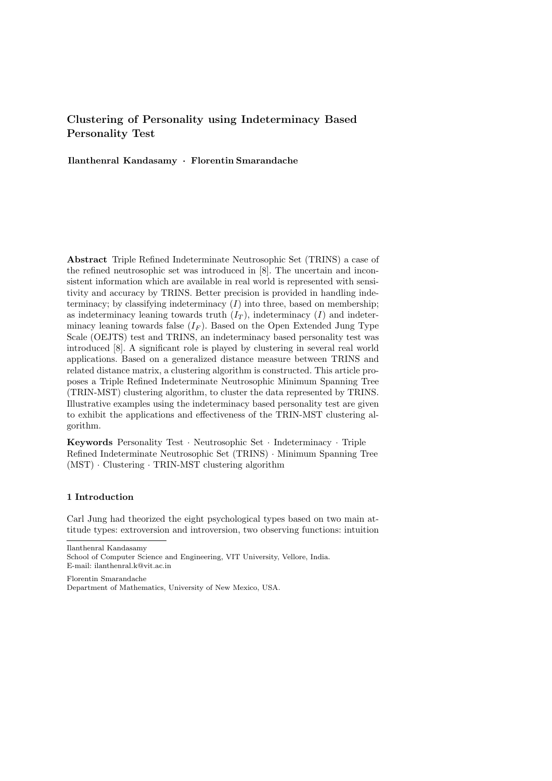# **Clustering of Personality using Indeterminacy Based Personality Test**

**Ilanthenral Kandasamy** *·* **Florentin Smarandache**

**Abstract** Triple Refined Indeterminate Neutrosophic Set (TRINS) a case of the refined neutrosophic set was introduced in [8]. The uncertain and inconsistent information which are available in real world is represented with sensitivity and accuracy by TRINS. Better precision is provided in handling indeterminacy; by classifying indeterminacy  $(I)$  into three, based on membership; as indeterminacy leaning towards truth  $(I_T)$ , indeterminacy  $(I)$  and indeterminacy leaning towards false  $(I_F)$ . Based on the Open Extended Jung Type Scale (OEJTS) test and TRINS, an indeterminacy based personality test was introduced [8]. A significant role is played by clustering in several real world applications. Based on a generalized distance measure between TRINS and related distance matrix, a clustering algorithm is constructed. This article proposes a Triple Refined Indeterminate Neutrosophic Minimum Spanning Tree (TRIN-MST) clustering algorithm, to cluster the data represented by TRINS. Illustrative examples using the indeterminacy based personality test are given to exhibit the applications and effectiveness of the TRIN-MST clustering algorithm.

**Keywords** Personality Test *·* Neutrosophic Set *·* Indeterminacy *·* Triple Refined Indeterminate Neutrosophic Set (TRINS) *·* Minimum Spanning Tree (MST) *·* Clustering *·* TRIN-MST clustering algorithm

## **1 Introduction**

Carl Jung had theorized the eight psychological types based on two main attitude types: extroversion and introversion, two observing functions: intuition

Ilanthenral Kandasamy

School of Computer Science and Engineering, VIT University, Vellore, India. E-mail: ilanthenral.k@vit.ac.in

Florentin Smarandache Department of Mathematics, University of New Mexico, USA.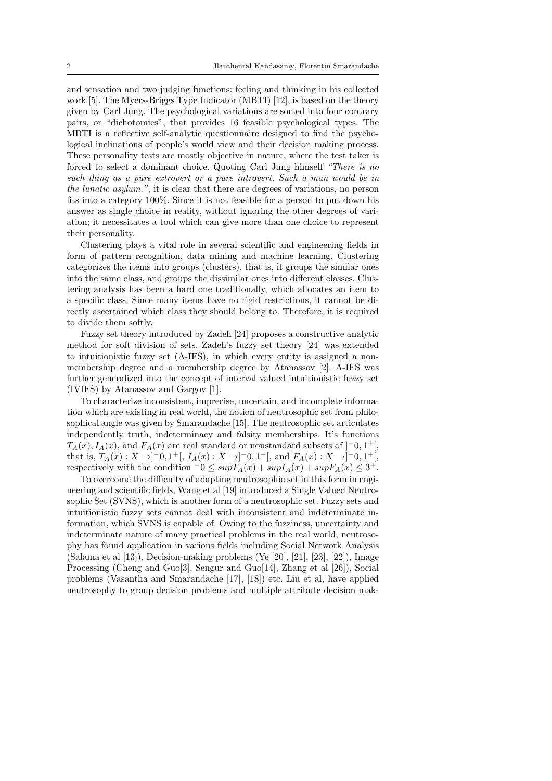and sensation and two judging functions: feeling and thinking in his collected work [5]. The Myers-Briggs Type Indicator (MBTI) [12], is based on the theory given by Carl Jung. The psychological variations are sorted into four contrary pairs, or "dichotomies", that provides 16 feasible psychological types. The MBTI is a reflective self-analytic questionnaire designed to find the psychological inclinations of people's world view and their decision making process. These personality tests are mostly objective in nature, where the test taker is forced to select a dominant choice. Quoting Carl Jung himself *"There is no such thing as a pure extrovert or a pure introvert. Such a man would be in the lunatic asylum."*, it is clear that there are degrees of variations, no person fits into a category 100%. Since it is not feasible for a person to put down his answer as single choice in reality, without ignoring the other degrees of variation; it necessitates a tool which can give more than one choice to represent their personality.

Clustering plays a vital role in several scientific and engineering fields in form of pattern recognition, data mining and machine learning. Clustering categorizes the items into groups (clusters), that is, it groups the similar ones into the same class, and groups the dissimilar ones into different classes. Clustering analysis has been a hard one traditionally, which allocates an item to a specific class. Since many items have no rigid restrictions, it cannot be directly ascertained which class they should belong to. Therefore, it is required to divide them softly.

Fuzzy set theory introduced by Zadeh [24] proposes a constructive analytic method for soft division of sets. Zadeh's fuzzy set theory [24] was extended to intuitionistic fuzzy set (A-IFS), in which every entity is assigned a nonmembership degree and a membership degree by Atanassov [2]. A-IFS was further generalized into the concept of interval valued intuitionistic fuzzy set (IVIFS) by Atanassov and Gargov [1].

To characterize inconsistent, imprecise, uncertain, and incomplete information which are existing in real world, the notion of neutrosophic set from philosophical angle was given by Smarandache [15]. The neutrosophic set articulates independently truth, indeterminacy and falsity memberships. It's functions  $T_A(x)$ ,  $I_A(x)$ , and  $F_A(x)$  are real standard or nonstandard subsets of  $]$ <sup>-</sup>0, 1<sup>+</sup>[, that is,  $T_A(x) : X \to ]-0,1^+[, I_A(x) : X \to ]-0,1^+[,$  and  $F_A(x) : X \to ]-0,1^+[,$ respectively with the condition  $\bar{0} \leq supT_A(x) + supI_A(x) + supF_A(x) \leq 3^+$ .

To overcome the difficulty of adapting neutrosophic set in this form in engineering and scientific fields, Wang et al [19] introduced a Single Valued Neutrosophic Set (SVNS), which is another form of a neutrosophic set. Fuzzy sets and intuitionistic fuzzy sets cannot deal with inconsistent and indeterminate information, which SVNS is capable of. Owing to the fuzziness, uncertainty and indeterminate nature of many practical problems in the real world, neutrosophy has found application in various fields including Social Network Analysis (Salama et al  $[13]$ ), Decision-making problems (Ye  $[20]$ ,  $[21]$ ,  $[23]$ ,  $[22]$ ), Image Processing (Cheng and Guo[3], Sengur and Guo[14], Zhang et al [26]), Social problems (Vasantha and Smarandache [17], [18]) etc. Liu et al, have applied neutrosophy to group decision problems and multiple attribute decision mak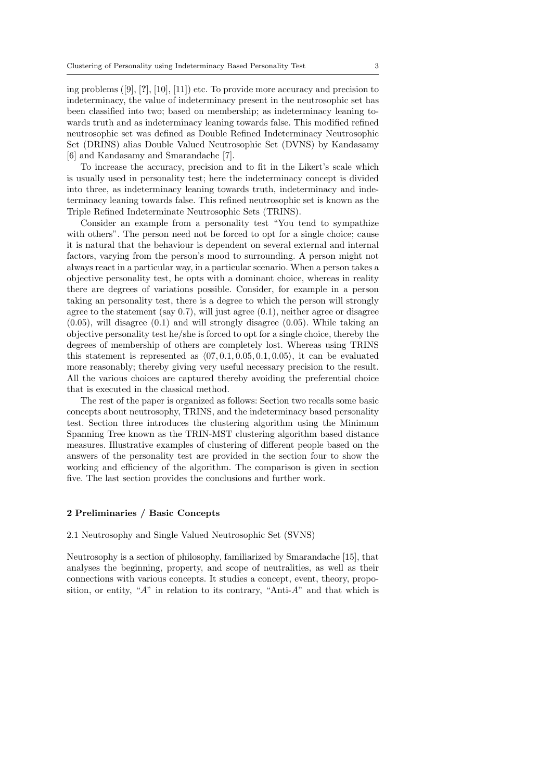ing problems ([9], [**?**], [10], [11]) etc. To provide more accuracy and precision to indeterminacy, the value of indeterminacy present in the neutrosophic set has been classified into two; based on membership; as indeterminacy leaning towards truth and as indeterminacy leaning towards false. This modified refined neutrosophic set was defined as Double Refined Indeterminacy Neutrosophic Set (DRINS) alias Double Valued Neutrosophic Set (DVNS) by Kandasamy [6] and Kandasamy and Smarandache [7].

To increase the accuracy, precision and to fit in the Likert's scale which is usually used in personality test; here the indeterminacy concept is divided into three, as indeterminacy leaning towards truth, indeterminacy and indeterminacy leaning towards false. This refined neutrosophic set is known as the Triple Refined Indeterminate Neutrosophic Sets (TRINS).

Consider an example from a personality test "You tend to sympathize with others". The person need not be forced to opt for a single choice; cause it is natural that the behaviour is dependent on several external and internal factors, varying from the person's mood to surrounding. A person might not always react in a particular way, in a particular scenario. When a person takes a objective personality test, he opts with a dominant choice, whereas in reality there are degrees of variations possible. Consider, for example in a person taking an personality test, there is a degree to which the person will strongly agree to the statement (say  $0.7$ ), will just agree  $(0.1)$ , neither agree or disagree  $(0.05)$ , will disagree  $(0.1)$  and will strongly disagree  $(0.05)$ . While taking an objective personality test he/she is forced to opt for a single choice, thereby the degrees of membership of others are completely lost. Whereas using TRINS this statement is represented as *⟨*07*,* 0*.*1*,* 0*.*05*,* 0*.*1*,* 0*.*05*⟩*, it can be evaluated more reasonably; thereby giving very useful necessary precision to the result. All the various choices are captured thereby avoiding the preferential choice that is executed in the classical method.

The rest of the paper is organized as follows: Section two recalls some basic concepts about neutrosophy, TRINS, and the indeterminacy based personality test. Section three introduces the clustering algorithm using the Minimum Spanning Tree known as the TRIN-MST clustering algorithm based distance measures. Illustrative examples of clustering of different people based on the answers of the personality test are provided in the section four to show the working and efficiency of the algorithm. The comparison is given in section five. The last section provides the conclusions and further work.

## **2 Preliminaries / Basic Concepts**

#### 2.1 Neutrosophy and Single Valued Neutrosophic Set (SVNS)

Neutrosophy is a section of philosophy, familiarized by Smarandache [15], that analyses the beginning, property, and scope of neutralities, as well as their connections with various concepts. It studies a concept, event, theory, proposition, or entity, "*A*" in relation to its contrary, "Anti-*A*" and that which is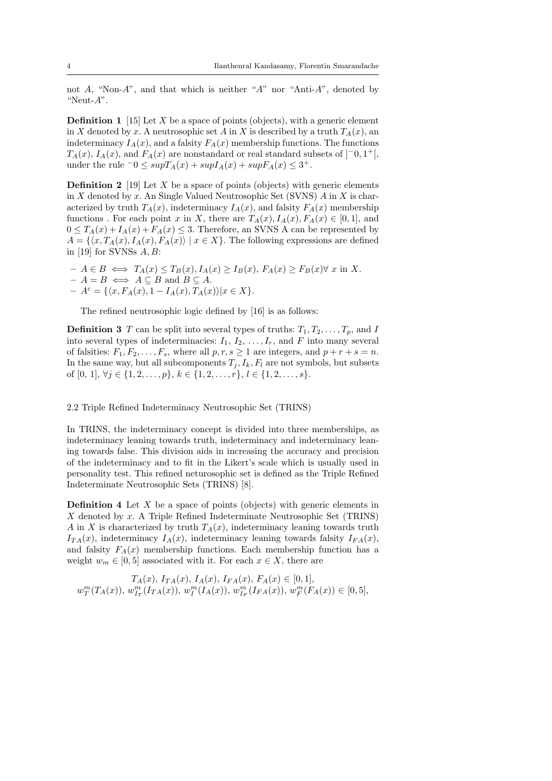not *A*, "Non-*A*", and that which is neither "*A*" nor "Anti-*A*", denoted by "Neut-*A*".

**Definition 1** [15] Let *X* be a space of points (objects), with a generic element in *X* denoted by *x*. A neutrosophic set *A* in *X* is described by a truth  $T_A(x)$ , an indeterminacy  $I_A(x)$ , and a falsity  $F_A(x)$  membership functions. The functions  $T_A(x)$ ,  $I_A(x)$ , and  $F_A(x)$  are nonstandard or real standard subsets of  $]$ <sup>-</sup>0*,* 1<sup>+</sup>[*,* under the rule  $\bar{0}$  ≤  $supT_A(x) + supI_A(x) + supF_A(x)$  ≤ 3<sup>+</sup>.

**Definition 2** [19] Let *X* be a space of points (objects) with generic elements in *X* denoted by *x*. An Single Valued Neutrosophic Set (SVNS) *A* in *X* is characterized by truth  $T_A(x)$ , indeterminacy  $I_A(x)$ , and falsity  $F_A(x)$  membership functions. For each point *x* in *X*, there are  $T_A(x)$ ,  $I_A(x)$ ,  $F_A(x) \in [0,1]$ , and  $0 \leq T_A(x) + I_A(x) + F_A(x) \leq 3$ . Therefore, an SVNS A can be represented by  $A = \{(x, T_A(x), I_A(x), F_A(x)) \mid x \in X\}$ . The following expressions are defined in [19] for SVNSs *A, B*:

 $- A \in B \iff T_A(x) \leq T_B(x), I_A(x) \geq I_B(x), F_A(x) \geq F_B(x) \forall x \text{ in } X.$  $- A = B \iff A \subseteq B$  and  $B \subseteq A$ .  $- A^{c} = \{ \langle x, F_{A}(x), 1 - I_{A}(x), T_{A}(x) \rangle | x \in X \}.$ 

The refined neutrosophic logic defined by [16] is as follows:

**Definition 3** *T* can be split into several types of truths:  $T_1, T_2, \ldots, T_p$ , and *I* into several types of indeterminacies:  $I_1, I_2, \ldots, I_r$ , and  $F$  into many several of falsities:  $F_1, F_2, \ldots, F_s$ , where all  $p, r, s \ge 1$  are integers, and  $p + r + s = n$ . In the same way, but all subcomponents  $T_j$ ,  $I_k$ ,  $F_l$  are not symbols, but subsets of  $[0, 1], \forall j \in \{1, 2, \ldots, p\}, k \in \{1, 2, \ldots, r\}, l \in \{1, 2, \ldots, s\}.$ 

#### 2.2 Triple Refined Indeterminacy Neutrosophic Set (TRINS)

In TRINS, the indeterminacy concept is divided into three memberships, as indeterminacy leaning towards truth, indeterminacy and indeterminacy leaning towards false. This division aids in increasing the accuracy and precision of the indeterminacy and to fit in the Likert's scale which is usually used in personality test. This refined neturosophic set is defined as the Triple Refined Indeterminate Neutrosophic Sets (TRINS) [8].

**Definition 4** Let *X* be a space of points (objects) with generic elements in *X* denoted by *x*. A Triple Refined Indeterminate Neutrosophic Set (TRINS) *A* in *X* is characterized by truth  $T_A(x)$ , indeterminacy leaning towards truth  $I_{TA}(x)$ , indeterminacy  $I_A(x)$ , indeterminacy leaning towards falsity  $I_{FA}(x)$ , and falsity  $F_A(x)$  membership functions. Each membership function has a weight  $w_m \in [0, 5]$  associated with it. For each  $x \in X$ , there are

$$
T_A(x), I_{TA}(x), I_{FA}(x), I_{FA}(x), F_A(x) \in [0, 1],
$$
  

$$
w_T^m(T_A(x)), w_{I_T}^m(I_{TA}(x)), w_T^m(I_A(x)), w_{I_F}^m(I_{FA}(x)), w_F^m(I_A(x)) \in [0, 5],
$$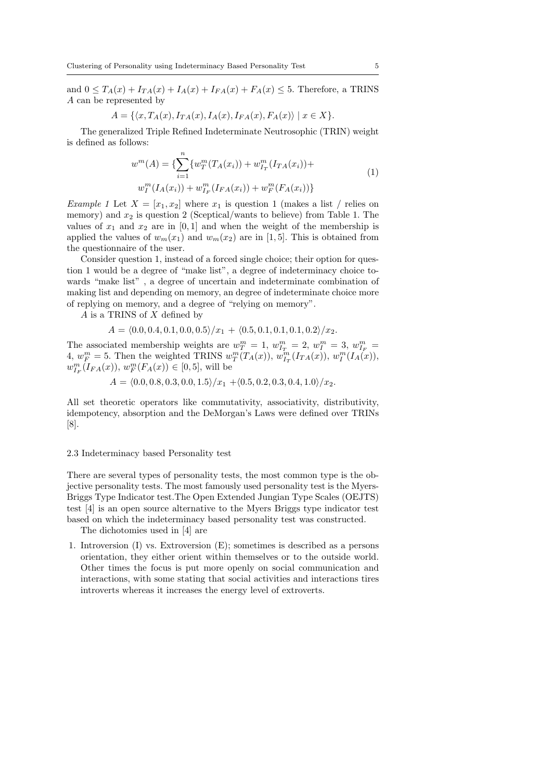and  $0 \leq T_A(x) + I_{TA}(x) + I_A(x) + I_{FA}(x) + F_A(x) \leq 5$ . Therefore, a TRINS *A* can be represented by

$$
A = \{ \langle x, T_A(x), I_{TA}(x), I_A(x), I_{FA}(x), F_A(x) \rangle \mid x \in X \}.
$$

The generalized Triple Refined Indeterminate Neutrosophic (TRIN) weight is defined as follows:

$$
w^{m}(A) = \{ \sum_{i=1}^{n} \{ w_{T}^{m}(T_{A}(x_{i})) + w_{I_{T}}^{m}(I_{TA}(x_{i})) + w_{I}^{m}(I_{A}(x_{i})) + w_{I_{F}}^{m}(I_{FA}(x_{i})) + w_{F}^{m}(I_{FA}(x_{i})) \}
$$
\n
$$
(1)
$$

*Example 1* Let  $X = [x_1, x_2]$  where  $x_1$  is question 1 (makes a list / relies on memory) and  $x_2$  is question 2 (Sceptical/wants to believe) from Table 1. The values of  $x_1$  and  $x_2$  are in [0,1] and when the weight of the membership is applied the values of  $w_m(x_1)$  and  $w_m(x_2)$  are in [1, 5]. This is obtained from the questionnaire of the user.

Consider question 1, instead of a forced single choice; their option for question 1 would be a degree of "make list", a degree of indeterminacy choice towards "make list" , a degree of uncertain and indeterminate combination of making list and depending on memory, an degree of indeterminate choice more of replying on memory, and a degree of "relying on memory".

*A* is a TRINS of *X* defined by

$$
A = \langle 0.0, 0.4, 0.1, 0.0, 0.5 \rangle / x_1 + \langle 0.5, 0.1, 0.1, 0.1, 0.2 \rangle / x_2.
$$

The associated membership weights are  $w_T^m = 1$ ,  $w_{I_T}^m = 2$ ,  $w_I^m = 3$ ,  $w_{I_F}^m =$ 4,  $w_F^m = 5$ . Then the weighted TRINS  $w_T^m(T_A(x))$ ,  $w_{T_T}^m(I_{TA}(x))$ ,  $w_I^m(I_A(x))$ ,  $w_{I_F}^m(I_{FA}(x)), w_F^m(F_A(x)) \in [0, 5]$ , will be

$$
A = \langle 0.0, 0.8, 0.3, 0.0, 1.5 \rangle / x_1 + \langle 0.5, 0.2, 0.3, 0.4, 1.0 \rangle / x_2.
$$

All set theoretic operators like commutativity, associativity, distributivity, idempotency, absorption and the DeMorgan's Laws were defined over TRINs [8].

#### 2.3 Indeterminacy based Personality test

There are several types of personality tests, the most common type is the objective personality tests. The most famously used personality test is the Myers-Briggs Type Indicator test.The Open Extended Jungian Type Scales (OEJTS) test [4] is an open source alternative to the Myers Briggs type indicator test based on which the indeterminacy based personality test was constructed.

The dichotomies used in [4] are

1. Introversion (I) vs. Extroversion (E); sometimes is described as a persons orientation, they either orient within themselves or to the outside world. Other times the focus is put more openly on social communication and interactions, with some stating that social activities and interactions tires introverts whereas it increases the energy level of extroverts.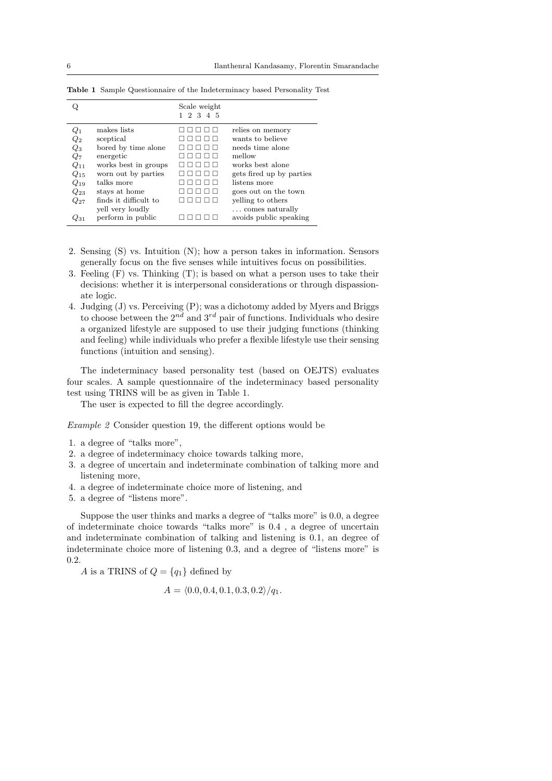|                    |                       | Scale weight<br>2 3 4 5 |                          |
|--------------------|-----------------------|-------------------------|--------------------------|
|                    |                       |                         |                          |
| $\,_{1}$           | makes lists           |                         | relies on memory         |
| $\scriptstyle Q_2$ | sceptical             |                         | wants to believe         |
| $Q_3$              | bored by time alone   |                         | needs time alone         |
| $Q_7$              | energetic             |                         | mellow                   |
| $Q_{11}$           | works best in groups  |                         | works best alone         |
| $Q_{15}$           | worn out by parties   |                         | gets fired up by parties |
| $Q_{19}$           | talks more            |                         | listens more             |
| $Q_{23}$           | stays at home         |                         | goes out on the town     |
| $Q_{27}$           | finds it difficult to |                         | yelling to others        |
|                    | yell very loudly      |                         | comes naturally          |
| 231                | perform in public     |                         | avoids public speaking   |

**Table 1** Sample Questionnaire of the Indeterminacy based Personality Test

- 2. Sensing (S) vs. Intuition (N); how a person takes in information. Sensors generally focus on the five senses while intuitives focus on possibilities.
- 3. Feeling (F) vs. Thinking (T); is based on what a person uses to take their decisions: whether it is interpersonal considerations or through dispassionate logic.
- 4. Judging (J) vs. Perceiving (P); was a dichotomy added by Myers and Briggs to choose between the  $2^{nd}$  and  $3^{rd}$  pair of functions. Individuals who desire a organized lifestyle are supposed to use their judging functions (thinking and feeling) while individuals who prefer a flexible lifestyle use their sensing functions (intuition and sensing).

The indeterminacy based personality test (based on OEJTS) evaluates four scales. A sample questionnaire of the indeterminacy based personality test using TRINS will be as given in Table 1.

The user is expected to fill the degree accordingly.

*Example 2* Consider question 19, the different options would be

- 1. a degree of "talks more",
- 2. a degree of indeterminacy choice towards talking more,
- 3. a degree of uncertain and indeterminate combination of talking more and listening more,
- 4. a degree of indeterminate choice more of listening, and
- 5. a degree of "listens more".

Suppose the user thinks and marks a degree of "talks more" is 0.0, a degree of indeterminate choice towards "talks more" is 0.4 , a degree of uncertain and indeterminate combination of talking and listening is 0.1, an degree of indeterminate choice more of listening 0.3, and a degree of "listens more" is 0.2.

*A* is a TRINS of  $Q = \{q_1\}$  defined by

$$
A = \langle 0.0, 0.4, 0.1, 0.3, 0.2 \rangle / q_1.
$$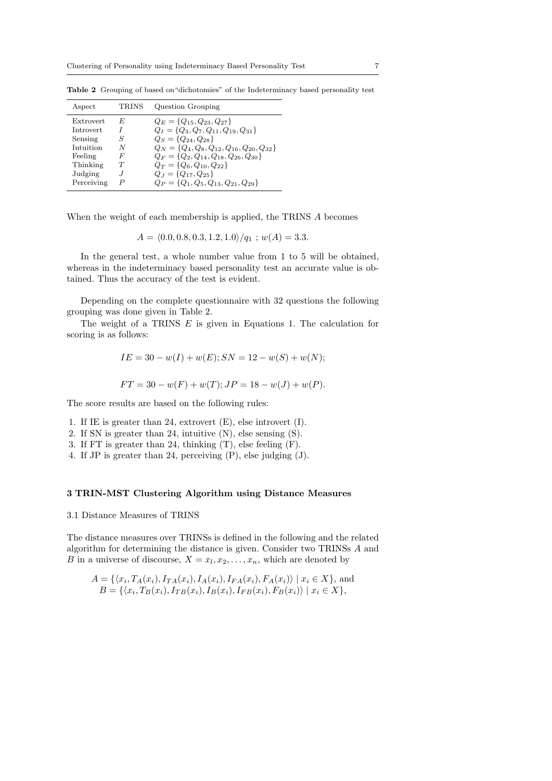| Aspect                                                                           | <b>TRINS</b>                   | Question Grouping                                                                                                                                                                                                                                                                                   |
|----------------------------------------------------------------------------------|--------------------------------|-----------------------------------------------------------------------------------------------------------------------------------------------------------------------------------------------------------------------------------------------------------------------------------------------------|
| Extrovert<br>Introvert<br>Sensing<br>Intuition<br>Feeling<br>Thinking<br>Judging | F,<br>S<br>N<br>F<br>$\cdot$ I | $Q_E = \{Q_{15}, Q_{23}, Q_{27}\}\$<br>$Q_I = \{Q_3, Q_7, Q_{11}, Q_{19}, Q_{31}\}\$<br>$Q_S = \{Q_{24}, Q_{28}\}\$<br>$Q_N = \{Q_4, Q_8, Q_{12}, Q_{16}, Q_{20}, Q_{32}\}\$<br>$Q_F = \{Q_2, Q_{14}, Q_{18}, Q_{26}, Q_{30}\}\$<br>$Q_T = \{Q_6, Q_{10}, Q_{22}\}\$<br>$Q_J = \{Q_{17}, Q_{25}\}\$ |
| Perceiving                                                                       |                                | $Q_P = \{Q_1, Q_5, Q_{13}, Q_{21}, Q_{29}\}\$                                                                                                                                                                                                                                                       |

**Table 2** Grouping of based on"dichotomies" of the Indeterminacy based personality test

When the weight of each membership is applied, the TRINS *A* becomes

$$
A = \langle 0.0, 0.8, 0.3, 1.2, 1.0 \rangle / q_1 ; w(A) = 3.3.
$$

In the general test, a whole number value from 1 to 5 will be obtained, whereas in the indeterminacy based personality test an accurate value is obtained. Thus the accuracy of the test is evident.

Depending on the complete questionnaire with 32 questions the following grouping was done given in Table 2.

The weight of a TRINS *E* is given in Equations 1. The calculation for scoring is as follows:

$$
IE = 30 - w(I) + w(E); SN = 12 - w(S) + w(N);
$$
  
FT = 30 - w(F) + w(T); JP = 18 - w(J) + w(P).

The score results are based on the following rules:

- 1. If IE is greater than 24, extrovert (E), else introvert (I).
- 2. If SN is greater than 24, intuitive (N), else sensing (S).
- 3. If FT is greater than 24, thinking (T), else feeling (F).
- 4. If JP is greater than 24, perceiving (P), else judging (J).

#### **3 TRIN-MST Clustering Algorithm using Distance Measures**

#### 3.1 Distance Measures of TRINS

The distance measures over TRINSs is defined in the following and the related algorithm for determining the distance is given. Consider two TRINSs *A* and *B* in a universe of discourse,  $X = x_l, x_2, \ldots, x_n$ , which are denoted by

$$
A = \{ \langle x_i, T_A(x_i), I_{TA}(x_i), I_A(x_i), I_{FA}(x_i), F_A(x_i) \rangle \mid x_i \in X \}, \text{ and}
$$
  
\n
$$
B = \{ \langle x_i, T_B(x_i), I_{TB}(x_i), I_B(x_i), I_{FB}(x_i), F_B(x_i) \rangle \mid x_i \in X \},
$$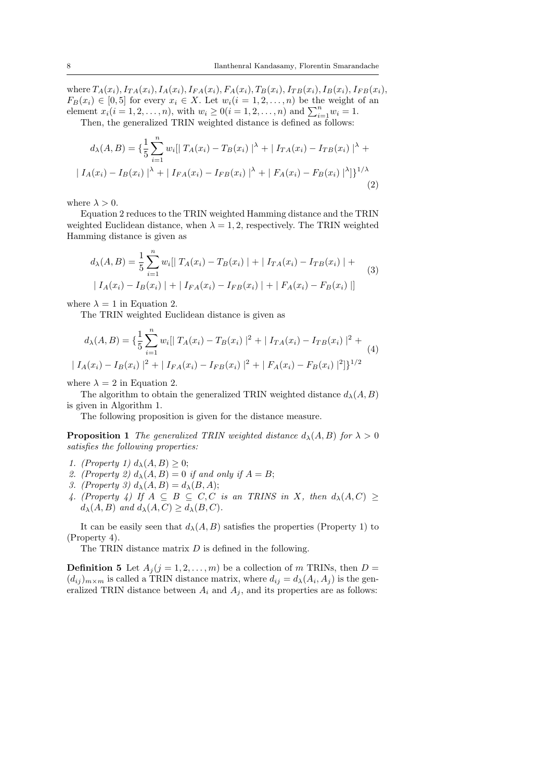where  $T_A(x_i)$ ,  $I_{TA}(x_i)$ ,  $I_A(x_i)$ ,  $I_{FA}(x_i)$ ,  $F_A(x_i)$ ,  $T_B(x_i)$ ,  $I_{TB}(x_i)$ ,  $I_{FB}(x_i)$ ,  $I_{FB}(x_i)$ ,  $F_B(x_i) \in [0,5]$  for every  $x_i \in X$ . Let  $w_i(i = 1,2,\ldots,n)$  be the weight of an element  $x_i(i = 1, 2, ..., n)$ , with  $w_i \ge 0$  ( $i = 1, 2, ..., n$ ) and  $\sum_{i=1}^{n} w_i = 1$ .

Then, the generalized TRIN weighted distance is defined as follows:

$$
d_{\lambda}(A, B) = \left\{ \frac{1}{5} \sum_{i=1}^{n} w_{i} \middle| \left| T_{A}(x_{i}) - T_{B}(x_{i}) \right|^{\lambda} + \left| I_{TA}(x_{i}) - I_{TB}(x_{i}) \right|^{\lambda} + \right\} | I_{A}(x_{i}) - I_{B}(x_{i}) |^{\lambda} + \left| I_{FA}(x_{i}) - I_{FB}(x_{i}) \right|^{\lambda} + \left| F_{A}(x_{i}) - F_{B}(x_{i}) \right|^{\lambda} | \right\}^{1/\lambda}
$$
\n(2)

where  $\lambda > 0$ .

Equation 2 reduces to the TRIN weighted Hamming distance and the TRIN weighted Euclidean distance, when  $\lambda = 1, 2$ , respectively. The TRIN weighted Hamming distance is given as

$$
d_{\lambda}(A, B) = \frac{1}{5} \sum_{i=1}^{n} w_i || T_A(x_i) - T_B(x_i) || + | I_{TA}(x_i) - I_{TB}(x_i) || +
$$
  

$$
| I_A(x_i) - I_B(x_i) || + | I_{FA}(x_i) - I_{FB}(x_i) || + | F_A(x_i) - F_B(x_i) ||
$$
 (3)

where  $\lambda = 1$  in Equation 2.

The TRIN weighted Euclidean distance is given as

$$
d_{\lambda}(A, B) = \left\{ \frac{1}{5} \sum_{i=1}^{n} w_i \left[ |T_A(x_i) - T_B(x_i)|^2 + |I_{TA}(x_i) - I_{TB}(x_i)|^2 + |I_{A}(x_i) - I_{B}(x_i)|^2 + |I_{FA}(x_i) - I_{FB}(x_i)|^2 \right] \right\}^{1/2}
$$
\n
$$
(4)
$$

where  $\lambda = 2$  in Equation 2.

The algorithm to obtain the generalized TRIN weighted distance  $d_{\lambda}(A, B)$ is given in Algorithm 1.

The following proposition is given for the distance measure.

**Proposition 1** *The generalized TRIN weighted distance*  $d_{\lambda}(A, B)$  *for*  $\lambda > 0$ *satisfies the following properties:*

- *1. (Property 1)*  $d_{\lambda}(A, B) \geq 0$ ;
- 2. (Property 2)  $d_{\lambda}(A, B) = 0$  *if and only if*  $A = B$ ;
- *3. (Property 3)*  $d_{\lambda}(A, B) = d_{\lambda}(B, A);$
- *4.* (Property 4) If  $A \subseteq B \subseteq C, C$  is an TRINS in X, then  $d_{\lambda}(A, C) \ge$  $d_{\lambda}(A, B)$  *and*  $d_{\lambda}(A, C) \geq d_{\lambda}(B, C)$ *.*

It can be easily seen that  $d_{\lambda}(A, B)$  satisfies the properties (Property 1) to (Property 4).

The TRIN distance matrix *D* is defined in the following.

**Definition 5** Let  $A_j$  ( $j = 1, 2, ..., m$ ) be a collection of *m* TRINs, then  $D =$  $(d_{ij})_{m \times m}$  is called a TRIN distance matrix, where  $d_{ij} = d_{\lambda}(A_i, A_j)$  is the generalized TRIN distance between  $A_i$  and  $A_j$ , and its properties are as follows: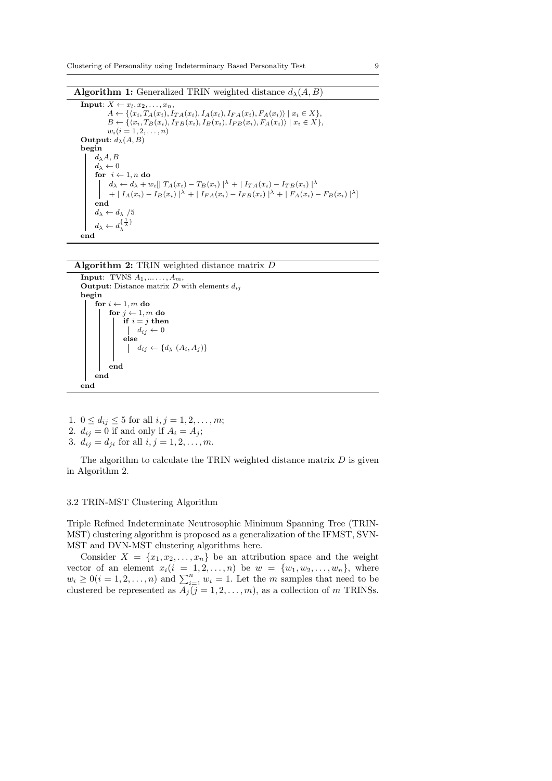**Algorithm 1:** Generalized TRIN weighted distance  $d_{\lambda}(A, B)$ 

 $\mathbf{Input: } X \leftarrow x_l, x_2, \ldots, x_n,$  $A \leftarrow \{ \langle x_i, T_A(x_i), I_{TA}(x_i), I_A(x_i), I_{FA}(x_i), F_A(x_i) \rangle \mid x_i \in X \},$  $B \leftarrow \{ \langle x_i, T_B(x_i), I_{TB}(x_i), I_B(x_i), I_{FB}(x_i), F_A(x_i) \rangle \mid x_i \in X \},$  $w_i (i = 1, 2, \ldots, n)$ **Output**:  $d_{\lambda}(A, B)$ **begin** *dλA, B d<sup>λ</sup> ←* 0 **for**  $i \leftarrow 1, n$  **do**  $d_{\lambda} \leftarrow d_{\lambda} + w_i || T_A(x_i) - T_B(x_i) ||^{\lambda} + || I_{TA}(x_i) - I_{TB}(x_i) ||^{\lambda}$ +  $|I_{A}(x_{i})-I_{B}(x_{i})|^{\lambda}$  +  $|I_{FA}(x_{i})-I_{FB}(x_{i})|^{\lambda}$  +  $|F_{A}(x_{i})-F_{B}(x_{i})|^{\lambda}]$ **end**  $d_{\lambda} \leftarrow d_{\lambda}$  /5  $d_{\lambda} \leftarrow d_{\lambda}^{\{\frac{1}{\lambda}\}}$ *λ* **end**

#### **Algorithm 2:** TRIN weighted distance matrix *D*

```
Input: TVNS A1, ... . . . , Am,
Output: Distance matrix D with elements d_{ij}begin
     for i \leftarrow 1, m do
          for j \leftarrow 1, m do
               if i = j then
                dij ← 0
               else
                \left\{ d_i \leftarrow \{d_\lambda \left( A_i, A_j \right) \}end
     end
end
```
- 1.  $0 \le d_{ij} \le 5$  for all  $i, j = 1, 2, ..., m$ ;
- 2.  $d_{ij} = 0$  if and only if  $A_i = A_j$ ;
- 3.  $d_{ij} = d_{ji}$  for all  $i, j = 1, 2, ..., m$ .

The algorithm to calculate the TRIN weighted distance matrix *D* is given in Algorithm 2.

### 3.2 TRIN-MST Clustering Algorithm

Triple Refined Indeterminate Neutrosophic Minimum Spanning Tree (TRIN-MST) clustering algorithm is proposed as a generalization of the IFMST, SVN-MST and DVN-MST clustering algorithms here.

Consider  $X = \{x_1, x_2, \ldots, x_n\}$  be an attribution space and the weight vector of an element  $x_i(i = 1, 2, ..., n)$  be  $w = \{w_1, w_2, ..., w_n\}$ , where  $w_i \geq 0$  (*i* = 1, 2, ..., *n*) and  $\sum_{i=1}^n w_i = 1$ . Let the *m* samples that need to be clustered be represented as  $A_j$  ( $j = 1, 2, ..., m$ ), as a collection of *m* TRINSs.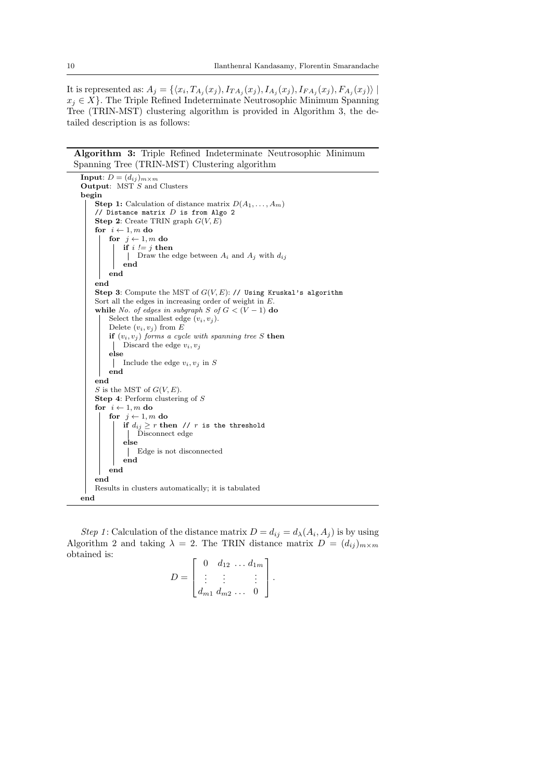It is represented as:  $A_j = \{ (x_i, T_{A_j}(x_j), I_{TA_j}(x_j), I_{A_j}(x_j), I_{FA_j}(x_j), F_{A_j}(x_j)) \mid$  $x_i \in X$ . The Triple Refined Indeterminate Neutrosophic Minimum Spanning Tree (TRIN-MST) clustering algorithm is provided in Algorithm 3, the detailed description is as follows:

**Algorithm 3:** Triple Refined Indeterminate Neutrosophic Minimum Spanning Tree (TRIN-MST) Clustering algorithm

```
Input: D = (d_{ij})_{m \times m}Output: MST S and Clusters
begin
    Step 1: Calculation of distance matrix D(A_1, \ldots, A_m)// Distance matrix D is from Algo 2
    Step 2: Create TRIN graph G(V, E)
    for i \leftarrow 1, m do
       for j \leftarrow 1, m do
           if i := j then
            Draw the edge between Ai and Aj with dij
            end
        end
    end
    Step 3: Compute the MST of G(V, E): // Using Kruskal's algorithm
    Sort all the edges in increasing order of weight in E.
    while No. of edges in subgraph S of G < (V - 1) do
        Select the smallest edge (v_i, v_j).
        Delete (v_i, v_j) from Eif (v_i, v_j) forms a cycle with spanning tree S then
            Discard the edge v_i, v_jelse
         | Include the edge v_i, v_j in S
        end
    end
    S is the MST of G(V, E).
    Step 4: Perform clustering of S
    for i \leftarrow 1, m do
        for j \leftarrow 1, m do
           if d_{ij} \geq r then // r is the threshold
             Disconnect edge
            else
             Edge is not disconnected
            end
        end
    end
    Results in clusters automatically; it is tabulated
end
```
*Step 1*: Calculation of the distance matrix  $D = d_{ij} = d_{\lambda}(A_i, A_j)$  is by using Algorithm 2 and taking  $\lambda = 2$ . The TRIN distance matrix  $D = (d_{ij})_{m \times m}$ obtained is:  $\mathbf{r}$   $\alpha$ 

$$
D = \begin{bmatrix} 0 & d_{12} & \dots & d_{1m} \\ \vdots & \vdots & & \vdots \\ d_{m1} & d_{m2} & \dots & 0 \end{bmatrix}.
$$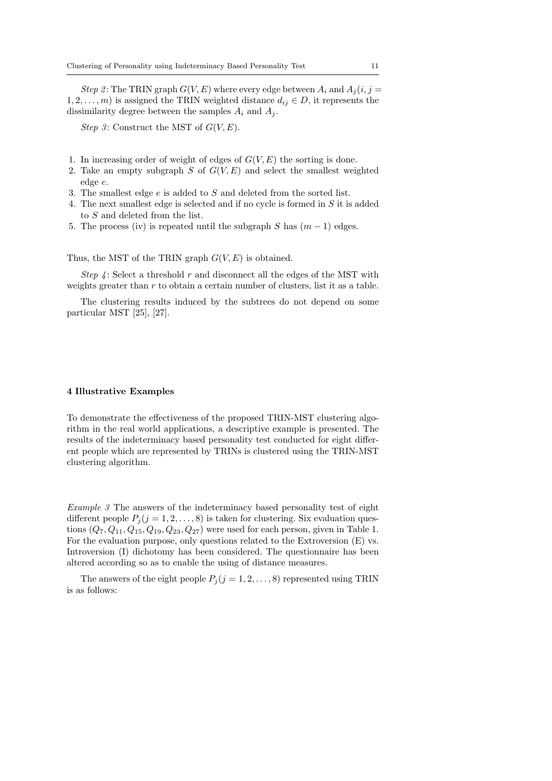*Step 2*: The TRIN graph  $G(V, E)$  where every edge between  $A_i$  and  $A_j(i, j =$ 1, 2, . . . , *m*) is assigned the TRIN weighted distance  $d_{ij} \in D$ , it represents the dissimilarity degree between the samples  $A_i$  and  $A_j$ .

*Step 3* : Construct the MST of *G*(*V, E*).

- 1. In increasing order of weight of edges of  $G(V, E)$  the sorting is done.
- 2. Take an empty subgraph *S* of *G*(*V, E*) and select the smallest weighted edge *e*.
- 3. The smallest edge *e* is added to *S* and deleted from the sorted list.
- 4. The next smallest edge is selected and if no cycle is formed in *S* it is added to *S* and deleted from the list.
- 5. The process (iv) is repeated until the subgraph *S* has  $(m-1)$  edges.

Thus, the MST of the TRIN graph  $G(V, E)$  is obtained.

*Step 4* : Select a threshold *r* and disconnect all the edges of the MST with weights greater than *r* to obtain a certain number of clusters, list it as a table.

The clustering results induced by the subtrees do not depend on some particular MST [25], [27].

#### **4 Illustrative Examples**

To demonstrate the effectiveness of the proposed TRIN-MST clustering algorithm in the real world applications, a descriptive example is presented. The results of the indeterminacy based personality test conducted for eight different people which are represented by TRINs is clustered using the TRIN-MST clustering algorithm.

*Example 3* The answers of the indeterminacy based personality test of eight different people  $P_j$  ( $j = 1, 2, ..., 8$ ) is taken for clustering. Six evaluation questions  $(Q_7, Q_{11}, Q_{15}, Q_{19}, Q_{23}, Q_{27})$  were used for each person, given in Table 1. For the evaluation purpose, only questions related to the Extroversion (E) vs. Introversion (I) dichotomy has been considered. The questionnaire has been altered according so as to enable the using of distance measures.

The answers of the eight people  $P_j$  ( $j = 1, 2, ..., 8$ ) represented using TRIN is as follows: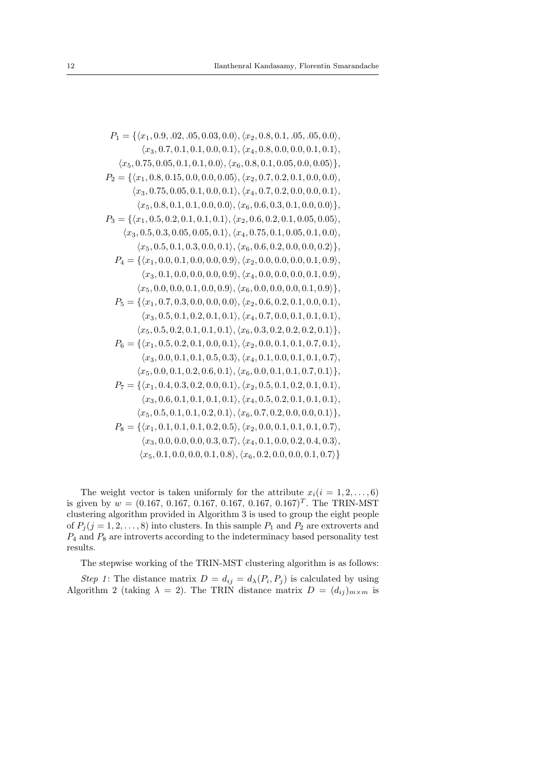$$
P_1 = \{ \langle x_1, 0.9, .02, .05, 0.03, 0.0 \rangle, \langle x_2, 0.8, 0.1, .05, .05, 0.0 \rangle, \\ \langle x_3, 0.7, 0.1, 0.1, 0.0, 0.1 \rangle, \langle x_4, 0.8, 0.0, 0.0, 0.1, 0.1 \rangle, \\ \langle x_5, 0.75, 0.05, 0.1, 0.1, 0.0 \rangle, \langle x_6, 0.8, 0.1, 0.05, 0.0, 0.05 \rangle \},
$$
  
\n
$$
P_2 = \{ \langle x_1, 0.8, 0.15, 0.0, 0.0, 0.05 \rangle, \langle x_2, 0.7, 0.2, 0.1, 0.0, 0.0 \rangle, \\ \langle x_3, 0.75, 0.05, 0.1, 0.0, 0.0 \rangle, \langle x_4, 0.7, 0.2, 0.0, 0.0, 0.1 \rangle, \\ \langle x_5, 0.8, 0.1, 0.1, 0.0, 0.0 \rangle, \langle x_6, 0.6, 0.3, 0.1, 0.0, 0.0 \rangle \},
$$
  
\n
$$
P_3 = \{ \langle x_1, 0.5, 0.2, 0.1, 0.1, 0.1 \rangle, \langle x_2, 0.6, 0.2, 0.1, 0.05, 0.05 \rangle, \\ \langle x_3, 0.5, 0.3, 0.05, 0.05, 0.1 \rangle, \langle x_4, 0.75, 0.1, 0.05, 0.1, 0.0 \rangle, \\ \langle x_5, 0.5, 0.3, 0.05, 0.05, 0.1 \rangle, \langle x_6, 0.6, 0.2, 0.1, 0.05, 0.1 \rangle, \\ \langle x_5, 0.5, 0.1, 0.3, 0.0, 0.1 \rangle, \langle x_6, 0.6, 0.2, 0.0, 0.0, 0.2 \rangle \},
$$
  
\n
$$
P_4 = \{ \langle x_1, 0.0, 0.1
$$

The weight vector is taken uniformly for the attribute  $x_i(i = 1, 2, \ldots, 6)$ is given by  $w = (0.167, 0.167, 0.167, 0.167, 0.167, 0.167)^T$ . The TRIN-MST clustering algorithm provided in Algorithm 3 is used to group the eight people of  $P_j$  ( $j = 1, 2, ..., 8$ ) into clusters. In this sample  $P_1$  and  $P_2$  are extroverts and *P*<sup>4</sup> and *P*<sup>8</sup> are introverts according to the indeterminacy based personality test results.

The stepwise working of the TRIN-MST clustering algorithm is as follows:

*Step 1*: The distance matrix  $D = d_{ij} = d_{\lambda}(P_i, P_j)$  is calculated by using Algorithm 2 (taking  $\lambda = 2$ ). The TRIN distance matrix  $D = (d_{ij})_{m \times m}$  is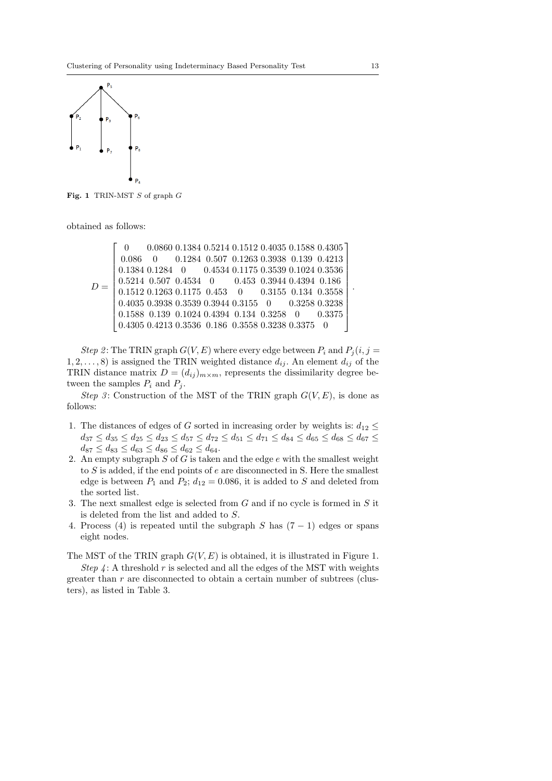

**Fig. 1** TRIN-MST *S* of graph *G*

obtained as follows:

```
D =\sqrt{ }

      \overline{1}0 0.0860 0.1384 0.5214 0.1512 0.4035 0.1588 0.4305
        0.086 0 0.1284 0.507 0.1263 0.3938 0.139 0.4213
        0.1384 0.1284 0 0.4534 0.1175 0.3539 0.1024 0.3536
        0.5214 0.507 0.4534 0 0.453 0.3944 0.4394 0.186
        0.1512 0.1263 0.1175 0.453 0 0.3155 0.134 0.3558
        0.4035 0.3938 0.3539 0.3944 0.3155 0 0.3258 0.3238
       0.1588 0.139 0.1024 0.4394 0.134 0.3258 0 0.3375
       0.4305 0.4213 0.3536 0.186 0.3558 0.3238 0.3375 0
                                                                          1
                                                                          \overline{1}\overline{1}\overline{1}\overline{1}\overline{1}\overline{1}\overline{1}\perp\mathbf{I}\overline{1}\overline{1}
```
*Step 2*: The TRIN graph  $G(V, E)$  where every edge between  $P_i$  and  $P_j(i, j =$  $1, 2, \ldots, 8$  is assigned the TRIN weighted distance  $d_{ij}$ . An element  $d_{ij}$  of the TRIN distance matrix  $D = (d_{ij})_{m \times m}$ , represents the dissimilarity degree between the samples  $P_i$  and  $P_j$ .

*Step 3*: Construction of the MST of the TRIN graph  $G(V, E)$ , is done as follows:

- 1. The distances of edges of *G* sorted in increasing order by weights is:  $d_{12} \leq$  $d_{37} \leq d_{35} \leq d_{25} \leq d_{23} \leq d_{57} \leq d_{72} \leq d_{51} \leq d_{71} \leq d_{84} \leq d_{65} \leq d_{68} \leq d_{67} \leq$  $d_{87} \leq d_{83} \leq d_{63} \leq d_{86} \leq d_{62} \leq d_{64}.$
- 2. An empty subgraph *S* of *G* is taken and the edge *e* with the smallest weight to *S* is added, if the end points of *e* are disconnected in S. Here the smallest edge is between  $P_1$  and  $P_2$ ;  $d_{12} = 0.086$ , it is added to *S* and deleted from the sorted list.
- 3. The next smallest edge is selected from *G* and if no cycle is formed in *S* it is deleted from the list and added to *S*.
- 4. Process (4) is repeated until the subgraph *S* has (7 *−* 1) edges or spans eight nodes.

The MST of the TRIN graph *G*(*V, E*) is obtained, it is illustrated in Figure 1. *Step 4* : A threshold  $r$  is selected and all the edges of the MST with weights greater than *r* are disconnected to obtain a certain number of subtrees (clusters), as listed in Table 3.

*.*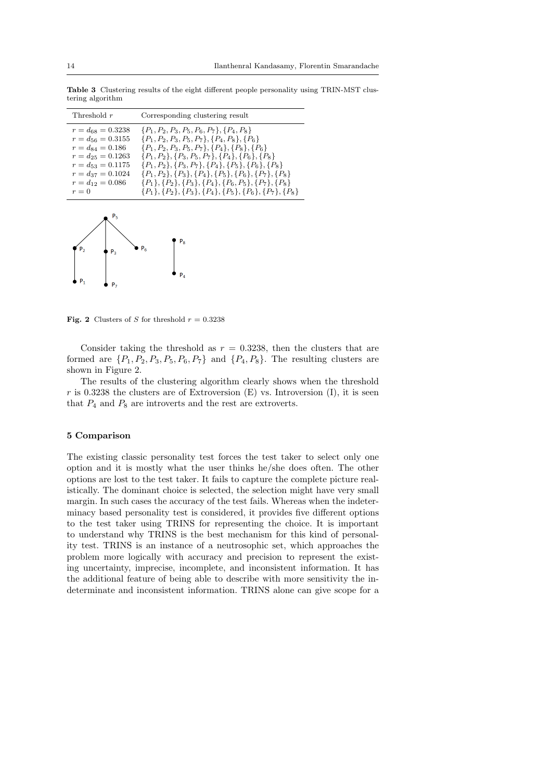**Table 3** Clustering results of the eight different people personality using TRIN-MST clustering algorithm

| Threshold $r$                                                                                                                                                                      | Corresponding clustering result                                                                                                                                                                                                                                                                                                                                                                                                                                                                                      |
|------------------------------------------------------------------------------------------------------------------------------------------------------------------------------------|----------------------------------------------------------------------------------------------------------------------------------------------------------------------------------------------------------------------------------------------------------------------------------------------------------------------------------------------------------------------------------------------------------------------------------------------------------------------------------------------------------------------|
| $r = d_{68} = 0.3238$<br>$r = d_{56} = 0.3155$<br>$r = d_{84} = 0.186$<br>$r = d_{25} = 0.1263$<br>$r = d_{53} = 0.1175$<br>$r = d_{37} = 0.1024$<br>$r = d_{12} = 0.086$<br>$r=0$ | $\{P_1, P_2, P_3, P_5, P_6, P_7\}, \{P_4, P_8\}$<br>$\{P_1, P_2, P_3, P_5, P_7\}, \{P_4, P_8\}, \{P_6\}$<br>$\{P_1, P_2, P_3, P_5, P_7\}, \{P_4\}, \{P_8\}, \{P_6\}$<br>$\{P_1, P_2\}, \{P_3, P_5, P_7\}, \{P_4\}, \{P_6\}, \{P_8\}$<br>$\{P_1, P_2\}, \{P_3, P_7\}, \{P_4\}, \{P_5\}, \{P_6\}, \{P_8\}$<br>$\{P_1, P_2\}, \{P_3\}, \{P_4\}, \{P_5\}, \{P_6\}, \{P_7\}, \{P_8\}$<br>$\{P_1\}, \{P_2\}, \{P_3\}, \{P_4\}, \{P_6, P_5\}, \{P_7\}, \{P_8\}$<br>${P_1}, {P_2}, {P_3}, {P_4}, {P_5}, {P_6}, {P_7}, {P_8}$ |



**Fig. 2** Clusters of *S* for threshold  $r = 0.3238$ 

Consider taking the threshold as  $r = 0.3238$ , then the clusters that are formed are  $\{P_1, P_2, P_3, P_5, P_6, P_7\}$  and  $\{P_4, P_8\}$ . The resulting clusters are shown in Figure 2.

The results of the clustering algorithm clearly shows when the threshold  $r$  is 0.3238 the clusters are of Extroversion (E) vs. Introversion (I), it is seen that  $P_4$  and  $P_8$  are introverts and the rest are extroverts.

#### **5 Comparison**

The existing classic personality test forces the test taker to select only one option and it is mostly what the user thinks he/she does often. The other options are lost to the test taker. It fails to capture the complete picture realistically. The dominant choice is selected, the selection might have very small margin. In such cases the accuracy of the test fails. Whereas when the indeterminacy based personality test is considered, it provides five different options to the test taker using TRINS for representing the choice. It is important to understand why TRINS is the best mechanism for this kind of personality test. TRINS is an instance of a neutrosophic set, which approaches the problem more logically with accuracy and precision to represent the existing uncertainty, imprecise, incomplete, and inconsistent information. It has the additional feature of being able to describe with more sensitivity the indeterminate and inconsistent information. TRINS alone can give scope for a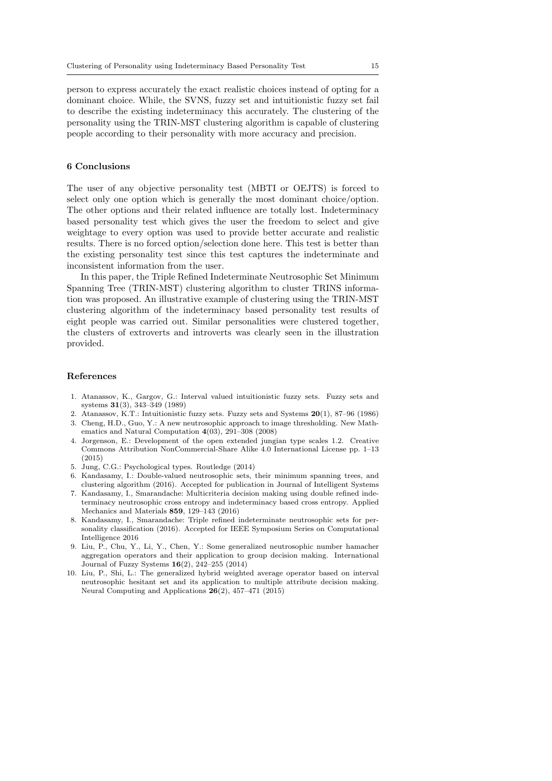person to express accurately the exact realistic choices instead of opting for a dominant choice. While, the SVNS, fuzzy set and intuitionistic fuzzy set fail to describe the existing indeterminacy this accurately. The clustering of the personality using the TRIN-MST clustering algorithm is capable of clustering people according to their personality with more accuracy and precision.

## **6 Conclusions**

The user of any objective personality test (MBTI or OEJTS) is forced to select only one option which is generally the most dominant choice/option. The other options and their related influence are totally lost. Indeterminacy based personality test which gives the user the freedom to select and give weightage to every option was used to provide better accurate and realistic results. There is no forced option/selection done here. This test is better than the existing personality test since this test captures the indeterminate and inconsistent information from the user.

In this paper, the Triple Refined Indeterminate Neutrosophic Set Minimum Spanning Tree (TRIN-MST) clustering algorithm to cluster TRINS information was proposed. An illustrative example of clustering using the TRIN-MST clustering algorithm of the indeterminacy based personality test results of eight people was carried out. Similar personalities were clustered together, the clusters of extroverts and introverts was clearly seen in the illustration provided.

#### **References**

- 1. Atanassov, K., Gargov, G.: Interval valued intuitionistic fuzzy sets. Fuzzy sets and systems **31**(3), 343–349 (1989)
- 2. Atanassov, K.T.: Intuitionistic fuzzy sets. Fuzzy sets and Systems **20**(1), 87–96 (1986)
- 3. Cheng, H.D., Guo, Y.: A new neutrosophic approach to image thresholding. New Mathematics and Natural Computation **4**(03), 291–308 (2008)
- 4. Jorgenson, E.: Development of the open extended jungian type scales 1.2. Creative Commons Attribution NonCommercial-Share Alike 4.0 International License pp. 1–13 (2015)
- 5. Jung, C.G.: Psychological types. Routledge (2014)
- 6. Kandasamy, I.: Double-valued neutrosophic sets, their minimum spanning trees, and clustering algorithm (2016). Accepted for publication in Journal of Intelligent Systems
- 7. Kandasamy, I., Smarandache: Multicriteria decision making using double refined indeterminacy neutrosophic cross entropy and indeterminacy based cross entropy. Applied Mechanics and Materials **859**, 129–143 (2016)
- 8. Kandasamy, I., Smarandache: Triple refined indeterminate neutrosophic sets for personality classification (2016). Accepted for IEEE Symposium Series on Computational Intelligence 2016
- 9. Liu, P., Chu, Y., Li, Y., Chen, Y.: Some generalized neutrosophic number hamacher aggregation operators and their application to group decision making. International Journal of Fuzzy Systems **16**(2), 242–255 (2014)
- 10. Liu, P., Shi, L.: The generalized hybrid weighted average operator based on interval neutrosophic hesitant set and its application to multiple attribute decision making. Neural Computing and Applications **26**(2), 457–471 (2015)